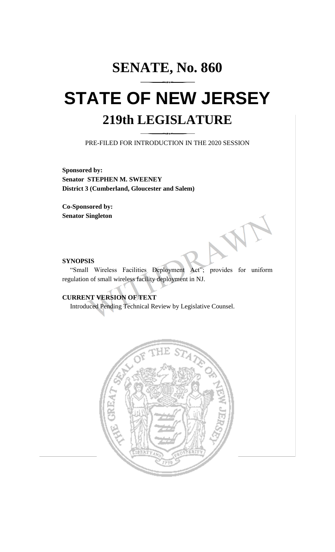# **SENATE, No. 860 STATE OF NEW JERSEY 219th LEGISLATURE**

PRE-FILED FOR INTRODUCTION IN THE 2020 SESSION

**Sponsored by: Senator STEPHEN M. SWEENEY District 3 (Cumberland, Gloucester and Salem)**

**Co-Sponsored by: Senator Singleton**

#### **SYNOPSIS**

"Small Wireless Facilities Deployment Act"; provides for uniform regulation of small wireless facility deployment in NJ.

# **CURRENT VERSION OF TEXT**

Introduced Pending Technical Review by Legislative Counsel.

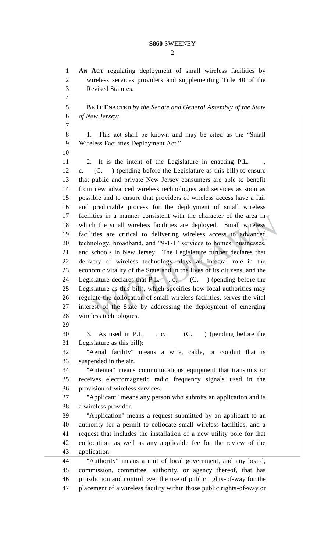$\mathcal{D}_{\mathcal{L}}$ 

 **AN ACT** regulating deployment of small wireless facilities by wireless services providers and supplementing Title 40 of the Revised Statutes. **BE IT ENACTED** *by the Senate and General Assembly of the State of New Jersey:* 1. This act shall be known and may be cited as the "Small Wireless Facilities Deployment Act." 11 2. It is the intent of the Legislature in enacting P.L. c. (C. ) (pending before the Legislature as this bill) to ensure that public and private New Jersey consumers are able to benefit from new advanced wireless technologies and services as soon as possible and to ensure that providers of wireless access have a fair and predictable process for the deployment of small wireless 17 facilities in a manner consistent with the character of the area in which the small wireless facilities are deployed. Small wireless facilities are critical to delivering wireless access to advanced technology, broadband, and "9-1-1" services to homes, businesses, and schools in New Jersey. The Legislature further declares that delivery of wireless technology plays an integral role in the economic vitality of the State and in the lives of its citizens, and the 24 Legislature declares that P.L., c. (C. ) (pending before the Legislature as this bill), which specifies how local authorities may regulate the collocation of small wireless facilities, serves the vital interest of the State by addressing the deployment of emerging wireless technologies. 3. As used in P.L. , c. (C. ) (pending before the Legislature as this bill): "Aerial facility" means a wire, cable, or conduit that is suspended in the air. "Antenna" means communications equipment that transmits or receives electromagnetic radio frequency signals used in the provision of wireless services. "Applicant" means any person who submits an application and is a wireless provider. "Application" means a request submitted by an applicant to an authority for a permit to collocate small wireless facilities, and a request that includes the installation of a new utility pole for that collocation, as well as any applicable fee for the review of the application. "Authority" means a unit of local government, and any board, commission, committee, authority, or agency thereof, that has jurisdiction and control over the use of public rights-of-way for the placement of a wireless facility within those public rights-of-way or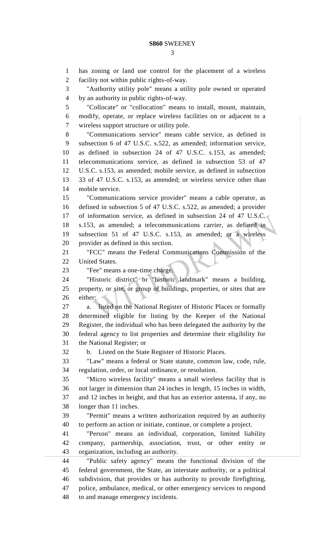has zoning or land use control for the placement of a wireless facility not within public rights-of-way. "Authority utility pole" means a utility pole owned or operated by an authority in public rights-of-way. "Collocate" or "collocation" means to install, mount, maintain, modify, operate, or replace wireless facilities on or adjacent to a wireless support structure or utility pole. "Communications service" means cable service, as defined in subsection 6 of 47 U.S.C. s.522, as amended; information service, as defined in subsection 24 of 47 U.S.C. s.153, as amended; telecommunications service, as defined in subsection 53 of 47 U.S.C. s.153, as amended; mobile service, as defined in subsection 33 of 47 U.S.C. s.153, as amended; or wireless service other than mobile service. "Communications service provider" means a cable operator, as defined in subsection 5 of 47 U.S.C. s.522, as amended; a provider of information service, as defined in subsection 24 of 47 U.S.C. s.153, as amended; a telecommunications carrier, as defined in subsection 51 of 47 U.S.C. s.153, as amended; or a wireless provider as defined in this section. "FCC" means the Federal Communications Commission of the United States. "Fee" means a one-time charge. "Historic district" or "historic landmark" means a building, property, or site, or group of buildings, properties, or sites that are either: a. listed on the National Register of Historic Places or formally determined eligible for listing by the Keeper of the National Register, the individual who has been delegated the authority by the federal agency to list properties and determine their eligibility for the National Register; or b. Listed on the State Register of Historic Places. "Law" means a federal or State statute, common law, code, rule, regulation, order, or local ordinance, or resolution. "Micro wireless facility" means a small wireless facility that is not larger in dimension than 24 inches in length, 15 inches in width, and 12 inches in height, and that has an exterior antenna, if any, no longer than 11 inches. "Permit" means a written authorization required by an authority to perform an action or initiate, continue, or complete a project. "Person" means an individual, corporation, limited liability company, partnership, association, trust, or other entity or organization, including an authority. "Public safety agency" means the functional division of the federal government, the State, an interstate authority, or a political subdivision, that provides or has authority to provide firefighting, police, ambulance, medical, or other emergency services to respond to and manage emergency incidents.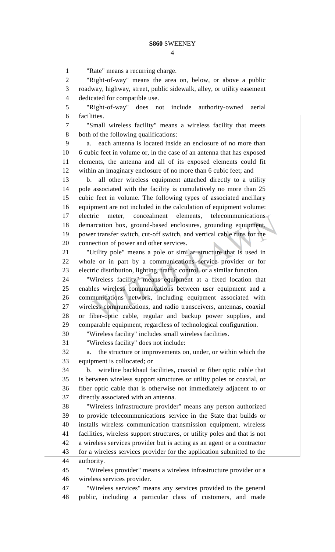"Rate" means a recurring charge.

 "Right-of-way" means the area on, below, or above a public roadway, highway, street, public sidewalk, alley, or utility easement

dedicated for compatible use.

 "Right-of-way" does not include authority-owned aerial facilities.

 "Small wireless facility" means a wireless facility that meets both of the following qualifications:

 a. each antenna is located inside an enclosure of no more than 6 cubic feet in volume or, in the case of an antenna that has exposed elements, the antenna and all of its exposed elements could fit within an imaginary enclosure of no more than 6 cubic feet; and

 b. all other wireless equipment attached directly to a utility pole associated with the facility is cumulatively no more than 25 cubic feet in volume. The following types of associated ancillary equipment are not included in the calculation of equipment volume: electric meter, concealment elements, telecommunications demarcation box, ground-based enclosures, grounding equipment, power transfer switch, cut-off switch, and vertical cable runs for the connection of power and other services.

 "Utility pole" means a pole or similar structure that is used in whole or in part by a communications service provider or for electric distribution, lighting, traffic control, or a similar function.

 "Wireless facility" means equipment at a fixed location that enables wireless communications between user equipment and a communications network, including equipment associated with wireless communications, and radio transceivers, antennas, coaxial or fiber-optic cable, regular and backup power supplies, and comparable equipment, regardless of technological configuration.

"Wireless facility" includes small wireless facilities.

"Wireless facility" does not include:

 a. the structure or improvements on, under, or within which the equipment is collocated; or

 b. wireline backhaul facilities, coaxial or fiber optic cable that is between wireless support structures or utility poles or coaxial, or fiber optic cable that is otherwise not immediately adjacent to or directly associated with an antenna.

 "Wireless infrastructure provider" means any person authorized to provide telecommunications service in the State that builds or installs wireless communication transmission equipment, wireless facilities, wireless support structures, or utility poles and that is not a wireless services provider but is acting as an agent or a contractor for a wireless services provider for the application submitted to the authority.

 "Wireless provider" means a wireless infrastructure provider or a wireless services provider.

 "Wireless services" means any services provided to the general public, including a particular class of customers, and made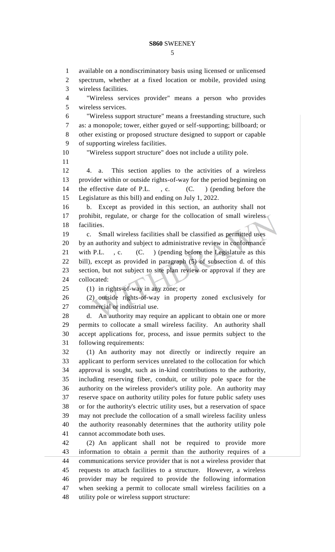available on a nondiscriminatory basis using licensed or unlicensed spectrum, whether at a fixed location or mobile, provided using wireless facilities. "Wireless services provider" means a person who provides wireless services. "Wireless support structure" means a freestanding structure, such as: a monopole; tower, either guyed or self-supporting; billboard; or other existing or proposed structure designed to support or capable of supporting wireless facilities. "Wireless support structure" does not include a utility pole. 4. a. This section applies to the activities of a wireless provider within or outside rights-of-way for the period beginning on 14 the effective date of P.L., c. (C.) (pending before the Legislature as this bill) and ending on July 1, 2022. b. Except as provided in this section, an authority shall not 17 prohibit, regulate, or charge for the collocation of small wireless facilities. c. Small wireless facilities shall be classified as permitted uses by an authority and subject to administrative review in conformance 21 with P.L., c. (C.) (pending before the Legislature as this bill), except as provided in paragraph (5) of subsection d. of this section, but not subject to site plan review or approval if they are collocated: (1) in rights-of-way in any zone; or (2) outside rights-of-way in property zoned exclusively for commercial or industrial use. d. An authority may require an applicant to obtain one or more permits to collocate a small wireless facility. An authority shall accept applications for, process, and issue permits subject to the following requirements: (1) An authority may not directly or indirectly require an applicant to perform services unrelated to the collocation for which approval is sought, such as in-kind contributions to the authority, including reserving fiber, conduit, or utility pole space for the authority on the wireless provider's utility pole. An authority may reserve space on authority utility poles for future public safety uses or for the authority's electric utility uses, but a reservation of space may not preclude the collocation of a small wireless facility unless the authority reasonably determines that the authority utility pole cannot accommodate both uses. (2) An applicant shall not be required to provide more information to obtain a permit than the authority requires of a communications service provider that is not a wireless provider that requests to attach facilities to a structure. However, a wireless provider may be required to provide the following information when seeking a permit to collocate small wireless facilities on a utility pole or wireless support structure: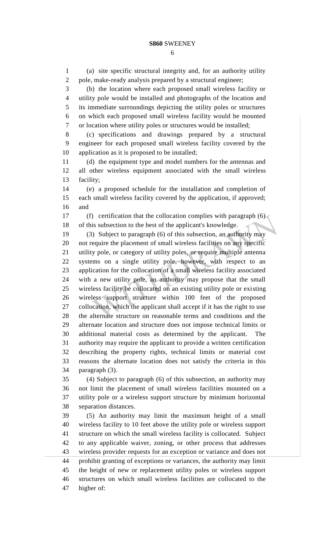(a) site specific structural integrity and, for an authority utility

 pole, make-ready analysis prepared by a structural engineer; (b) the location where each proposed small wireless facility or utility pole would be installed and photographs of the location and its immediate surroundings depicting the utility poles or structures on which each proposed small wireless facility would be mounted or location where utility poles or structures would be installed; (c) specifications and drawings prepared by a structural engineer for each proposed small wireless facility covered by the application as it is proposed to be installed; (d) the equipment type and model numbers for the antennas and all other wireless equipment associated with the small wireless facility; (e) a proposed schedule for the installation and completion of each small wireless facility covered by the application, if approved; and (f) certification that the collocation complies with paragraph (6) of this subsection to the best of the applicant's knowledge. (3) Subject to paragraph (6) of this subsection, an authority may not require the placement of small wireless facilities on any specific utility pole, or category of utility poles, or require multiple antenna systems on a single utility pole, however, with respect to an application for the collocation of a small wireless facility associated with a new utility pole, an authority may propose that the small wireless facility be collocated on an existing utility pole or existing wireless support structure within 100 feet of the proposed collocation, which the applicant shall accept if it has the right to use the alternate structure on reasonable terms and conditions and the alternate location and structure does not impose technical limits or additional material costs as determined by the applicant. The authority may require the applicant to provide a written certification describing the property rights, technical limits or material cost reasons the alternate location does not satisfy the criteria in this paragraph (3). (4) Subject to paragraph (6) of this subsection, an authority may not limit the placement of small wireless facilities mounted on a utility pole or a wireless support structure by minimum horizontal separation distances. (5) An authority may limit the maximum height of a small wireless facility to 10 feet above the utility pole or wireless support structure on which the small wireless facility is collocated. Subject to any applicable waiver, zoning, or other process that addresses wireless provider requests for an exception or variance and does not prohibit granting of exceptions or variances, the authority may limit the height of new or replacement utility poles or wireless support structures on which small wireless facilities are collocated to the higher of: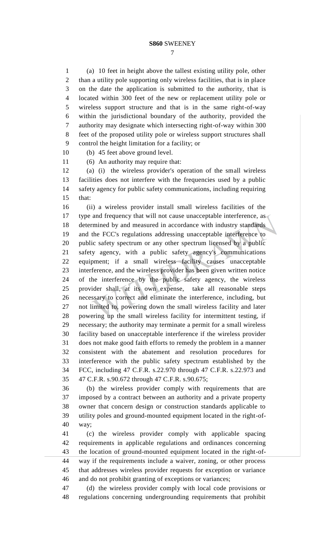(a) 10 feet in height above the tallest existing utility pole, other than a utility pole supporting only wireless facilities, that is in place on the date the application is submitted to the authority, that is located within 300 feet of the new or replacement utility pole or wireless support structure and that is in the same right-of-way within the jurisdictional boundary of the authority, provided the authority may designate which intersecting right-of-way within 300 feet of the proposed utility pole or wireless support structures shall control the height limitation for a facility; or

(b) 45 feet above ground level.

(6) An authority may require that:

 (a) (i) the wireless provider's operation of the small wireless facilities does not interfere with the frequencies used by a public safety agency for public safety communications, including requiring that:

 (ii) a wireless provider install small wireless facilities of the 17 type and frequency that will not cause unacceptable interference, as determined by and measured in accordance with industry standards and the FCC's regulations addressing unacceptable interference to public safety spectrum or any other spectrum licensed by a public safety agency, with a public safety agency's communications equipment; if a small wireless facility causes unacceptable interference, and the wireless provider has been given written notice of the interference by the public safety agency, the wireless provider shall, at its own expense, take all reasonable steps necessary to correct and eliminate the interference, including, but not limited to, powering down the small wireless facility and later powering up the small wireless facility for intermittent testing, if necessary; the authority may terminate a permit for a small wireless facility based on unacceptable interference if the wireless provider does not make good faith efforts to remedy the problem in a manner consistent with the abatement and resolution procedures for interference with the public safety spectrum established by the FCC, including 47 C.F.R. s.22.970 through 47 C.F.R. s.22.973 and 47 C.F.R. s.90.672 through 47 C.F.R. s.90.675;

 (b) the wireless provider comply with requirements that are imposed by a contract between an authority and a private property owner that concern design or construction standards applicable to utility poles and ground-mounted equipment located in the right-of-way;

 (c) the wireless provider comply with applicable spacing requirements in applicable regulations and ordinances concerning the location of ground-mounted equipment located in the right-of- way if the requirements include a waiver, zoning, or other process that addresses wireless provider requests for exception or variance and do not prohibit granting of exceptions or variances;

 (d) the wireless provider comply with local code provisions or regulations concerning undergrounding requirements that prohibit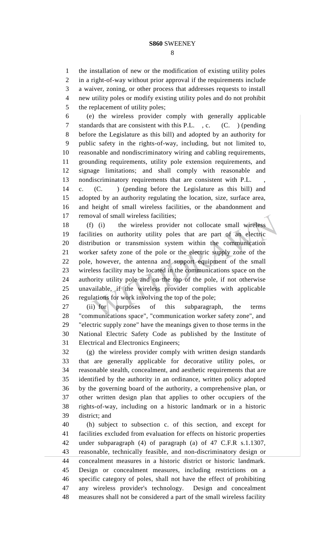the installation of new or the modification of existing utility poles in a right-of-way without prior approval if the requirements include a waiver, zoning, or other process that addresses requests to install new utility poles or modify existing utility poles and do not prohibit 5 the replacement of utility poles;

 (e) the wireless provider comply with generally applicable standards that are consistent with this P.L. , c. (C. ) (pending before the Legislature as this bill) and adopted by an authority for public safety in the rights-of-way, including, but not limited to, reasonable and nondiscriminatory wiring and cabling requirements, grounding requirements, utility pole extension requirements, and signage limitations; and shall comply with reasonable and nondiscriminatory requirements that are consistent with P.L. ,

 c. (C. ) (pending before the Legislature as this bill) and adopted by an authority regulating the location, size, surface area, and height of small wireless facilities, or the abandonment and removal of small wireless facilities;

 (f) (i) the wireless provider not collocate small wireless facilities on authority utility poles that are part of an electric distribution or transmission system within the communication worker safety zone of the pole or the electric supply zone of the pole, however, the antenna and support equipment of the small wireless facility may be located in the communications space on the authority utility pole and on the top of the pole, if not otherwise unavailable, if the wireless provider complies with applicable regulations for work involving the top of the pole;

 (ii) for purposes of this subparagraph, the terms "communications space", "communication worker safety zone", and "electric supply zone" have the meanings given to those terms in the National Electric Safety Code as published by the Institute of Electrical and Electronics Engineers;

 (g) the wireless provider comply with written design standards that are generally applicable for decorative utility poles, or reasonable stealth, concealment, and aesthetic requirements that are identified by the authority in an ordinance, written policy adopted by the governing board of the authority, a comprehensive plan, or other written design plan that applies to other occupiers of the rights-of-way, including on a historic landmark or in a historic district; and

 (h) subject to subsection c. of this section, and except for facilities excluded from evaluation for effects on historic properties under subparagraph (4) of paragraph (a) of 47 C.F.R s.1.1307, reasonable, technically feasible, and non-discriminatory design or concealment measures in a historic district or historic landmark. Design or concealment measures, including restrictions on a specific category of poles, shall not have the effect of prohibiting any wireless provider's technology. Design and concealment measures shall not be considered a part of the small wireless facility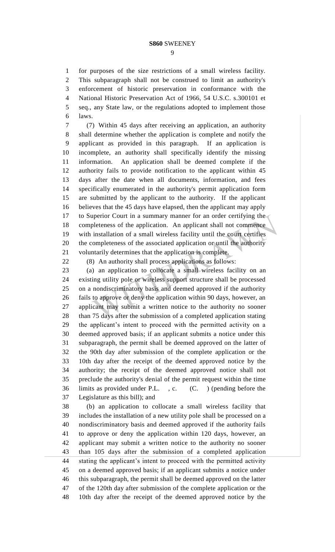for purposes of the size restrictions of a small wireless facility. This subparagraph shall not be construed to limit an authority's enforcement of historic preservation in conformance with the National Historic Preservation Act of 1966, 54 U.S.C. s.300101 et seq., any State law, or the regulations adopted to implement those laws.

 (7) Within 45 days after receiving an application, an authority shall determine whether the application is complete and notify the applicant as provided in this paragraph. If an application is incomplete, an authority shall specifically identify the missing information. An application shall be deemed complete if the authority fails to provide notification to the applicant within 45 days after the date when all documents, information, and fees specifically enumerated in the authority's permit application form are submitted by the applicant to the authority. If the applicant believes that the 45 days have elapsed, then the applicant may apply 17 to Superior Court in a summary manner for an order certifying the completeness of the application. An applicant shall not commence with installation of a small wireless facility until the court certifies the completeness of the associated application or until the authority voluntarily determines that the application is complete.

(8) An authority shall process applications as follows:

 (a) an application to collocate a small wireless facility on an existing utility pole or wireless support structure shall be processed on a nondiscriminatory basis and deemed approved if the authority fails to approve or deny the application within 90 days, however, an applicant may submit a written notice to the authority no sooner than 75 days after the submission of a completed application stating the applicant's intent to proceed with the permitted activity on a deemed approved basis; if an applicant submits a notice under this subparagraph, the permit shall be deemed approved on the latter of the 90th day after submission of the complete application or the 10th day after the receipt of the deemed approved notice by the authority; the receipt of the deemed approved notice shall not preclude the authority's denial of the permit request within the time limits as provided under P.L. , c. (C. ) (pending before the Legislature as this bill); and

 (b) an application to collocate a small wireless facility that includes the installation of a new utility pole shall be processed on a nondiscriminatory basis and deemed approved if the authority fails to approve or deny the application within 120 days, however, an applicant may submit a written notice to the authority no sooner than 105 days after the submission of a completed application stating the applicant's intent to proceed with the permitted activity on a deemed approved basis; if an applicant submits a notice under this subparagraph, the permit shall be deemed approved on the latter of the 120th day after submission of the complete application or the 10th day after the receipt of the deemed approved notice by the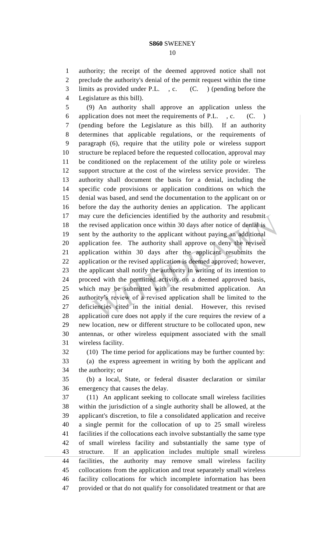authority; the receipt of the deemed approved notice shall not preclude the authority's denial of the permit request within the time limits as provided under P.L. , c. (C. ) (pending before the

Legislature as this bill).

 (9) An authority shall approve an application unless the application does not meet the requirements of P.L. , c. (C. ) (pending before the Legislature as this bill). If an authority determines that applicable regulations, or the requirements of paragraph (6), require that the utility pole or wireless support structure be replaced before the requested collocation, approval may be conditioned on the replacement of the utility pole or wireless support structure at the cost of the wireless service provider. The authority shall document the basis for a denial, including the specific code provisions or application conditions on which the denial was based, and send the documentation to the applicant on or before the day the authority denies an application. The applicant 17 may cure the deficiencies identified by the authority and resubmit the revised application once within 30 days after notice of denial is sent by the authority to the applicant without paying an additional application fee. The authority shall approve or deny the revised application within 30 days after the applicant resubmits the application or the revised application is deemed approved; however, the applicant shall notify the authority in writing of its intention to proceed with the permitted activity on a deemed approved basis, 25 which may be submitted with the resubmitted application. authority's review of a revised application shall be limited to the deficiencies cited in the initial denial. However, this revised application cure does not apply if the cure requires the review of a new location, new or different structure to be collocated upon, new antennas, or other wireless equipment associated with the small wireless facility.

(10) The time period for applications may be further counted by:

 (a) the express agreement in writing by both the applicant and the authority; or

 (b) a local, State, or federal disaster declaration or similar emergency that causes the delay.

 (11) An applicant seeking to collocate small wireless facilities within the jurisdiction of a single authority shall be allowed, at the applicant's discretion, to file a consolidated application and receive a single permit for the collocation of up to 25 small wireless facilities if the collocations each involve substantially the same type of small wireless facility and substantially the same type of structure. If an application includes multiple small wireless facilities, the authority may remove small wireless facility collocations from the application and treat separately small wireless facility collocations for which incomplete information has been provided or that do not qualify for consolidated treatment or that are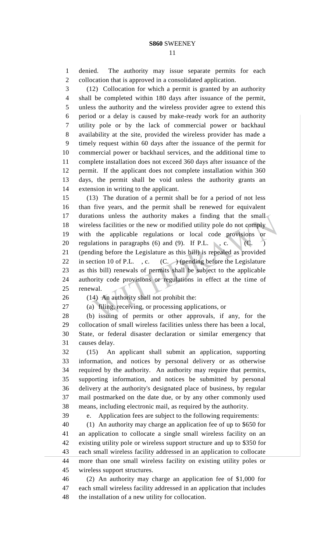denied. The authority may issue separate permits for each collocation that is approved in a consolidated application.

 (12) Collocation for which a permit is granted by an authority shall be completed within 180 days after issuance of the permit, unless the authority and the wireless provider agree to extend this period or a delay is caused by make-ready work for an authority utility pole or by the lack of commercial power or backhaul availability at the site, provided the wireless provider has made a timely request within 60 days after the issuance of the permit for commercial power or backhaul services, and the additional time to complete installation does not exceed 360 days after issuance of the permit. If the applicant does not complete installation within 360 days, the permit shall be void unless the authority grants an extension in writing to the applicant.

 (13) The duration of a permit shall be for a period of not less than five years, and the permit shall be renewed for equivalent durations unless the authority makes a finding that the small wireless facilities or the new or modified utility pole do not comply with the applicable regulations or local code provisions or 20 regulations in paragraphs  $(6)$  and  $(9)$ . If P.L. , c. (C. ) (pending before the Legislature as this bill) is repealed as provided 22 in section 10 of P.L. , c.  $(C. )$  (pending before the Legislature as this bill) renewals of permits shall be subject to the applicable authority code provisions or regulations in effect at the time of renewal.

(14) An authority shall not prohibit the:

(a) filing, receiving, or processing applications, or

 (b) issuing of permits or other approvals, if any, for the collocation of small wireless facilities unless there has been a local, State, or federal disaster declaration or similar emergency that causes delay.

 (15) An applicant shall submit an application, supporting information, and notices by personal delivery or as otherwise required by the authority. An authority may require that permits, supporting information, and notices be submitted by personal delivery at the authority's designated place of business, by regular mail postmarked on the date due, or by any other commonly used means, including electronic mail, as required by the authority.

e. Application fees are subject to the following requirements:

 (1) An authority may charge an application fee of up to \$650 for an application to collocate a single small wireless facility on an existing utility pole or wireless support structure and up to \$350 for each small wireless facility addressed in an application to collocate more than one small wireless facility on existing utility poles or wireless support structures.

 (2) An authority may charge an application fee of \$1,000 for each small wireless facility addressed in an application that includes the installation of a new utility for collocation.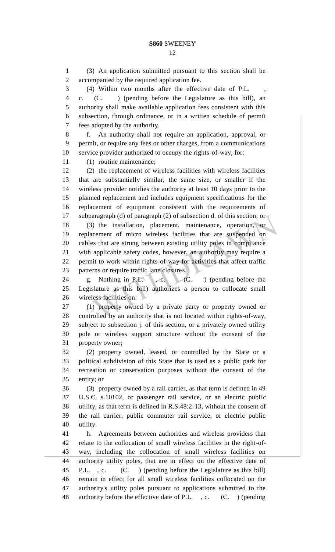(3) An application submitted pursuant to this section shall be accompanied by the required application fee.

(4) Within two months after the effective date of P.L. ,

 c. (C. ) (pending before the Legislature as this bill), an authority shall make available application fees consistent with this subsection, through ordinance, or in a written schedule of permit fees adopted by the authority.

 f. An authority shall not require an application, approval, or permit, or require any fees or other charges, from a communications service provider authorized to occupy the rights-of-way, for:

(1) routine maintenance;

 (2) the replacement of wireless facilities with wireless facilities that are substantially similar, the same size, or smaller if the wireless provider notifies the authority at least 10 days prior to the planned replacement and includes equipment specifications for the replacement of equipment consistent with the requirements of 17 subparagraph (d) of paragraph (2) of subsection d. of this section; or (3) the installation, placement, maintenance, operation, or

 replacement of micro wireless facilities that are suspended on cables that are strung between existing utility poles in compliance with applicable safety codes, however, an authority may require a permit to work within rights-of-way for activities that affect traffic patterns or require traffic lane closures.

 g. Nothing in P.L. , c. (C. ) (pending before the Legislature as this bill) authorizes a person to collocate small wireless facilities on:

 (1) property owned by a private party or property owned or controlled by an authority that is not located within rights-of-way, subject to subsection j. of this section, or a privately owned utility pole or wireless support structure without the consent of the property owner;

 (2) property owned, leased, or controlled by the State or a political subdivision of this State that is used as a public park for recreation or conservation purposes without the consent of the entity; or

 (3) property owned by a rail carrier, as that term is defined in 49 U.S.C. s.10102, or passenger rail service, or an electric public utility, as that term is defined in R.S.48:2-13, without the consent of the rail carrier, public commuter rail service, or electric public utility.

 h. Agreements between authorities and wireless providers that relate to the collocation of small wireless facilities in the right-of- way, including the collocation of small wireless facilities on authority utility poles, that are in effect on the effective date of P.L. , c. (C. ) (pending before the Legislature as this bill) remain in effect for all small wireless facilities collocated on the authority's utility poles pursuant to applications submitted to the authority before the effective date of P.L. , c. (C. ) (pending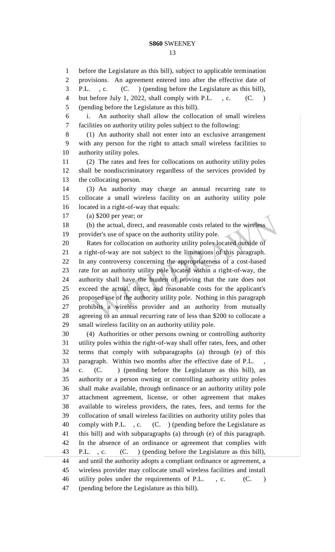before the Legislature as this bill), subject to applicable termination provisions. An agreement entered into after the effective date of P.L. , c. (C. ) (pending before the Legislature as this bill), 4 but before July 1, 2022, shall comply with P.L., c. (C.)

(pending before the Legislature as this bill).

 i. An authority shall allow the collocation of small wireless facilities on authority utility poles subject to the following: (1) An authority shall not enter into an exclusive arrangement with any person for the right to attach small wireless facilities to authority utility poles. (2) The rates and fees for collocations on authority utility poles shall be nondiscriminatory regardless of the services provided by the collocating person. (3) An authority may charge an annual recurring rate to collocate a small wireless facility on an authority utility pole located in a right-of-way that equals: (a) \$200 per year; or (b) the actual, direct, and reasonable costs related to the wireless provider's use of space on the authority utility pole. Rates for collocation on authority utility poles located outside of a right-of-way are not subject to the limitations of this paragraph. In any controversy concerning the appropriateness of a cost-based rate for an authority utility pole located within a right-of-way, the authority shall have the burden of proving that the rate does not exceed the actual, direct, and reasonable costs for the applicant's proposed use of the authority utility pole. Nothing in this paragraph prohibits a wireless provider and an authority from mutually agreeing to an annual recurring rate of less than \$200 to collocate a small wireless facility on an authority utility pole. (4) Authorities or other persons owning or controlling authority utility poles within the right-of-way shall offer rates, fees, and other terms that comply with subparagraphs (a) through (e) of this paragraph. Within two months after the effective date of P.L. , c. (C. ) (pending before the Legislature as this bill), an authority or a person owning or controlling authority utility poles shall make available, through ordinance or an authority utility pole attachment agreement, license, or other agreement that makes available to wireless providers, the rates, fees, and terms for the collocation of small wireless facilities on authority utility poles that comply with P.L. , c. (C. ) (pending before the Legislature as this bill) and with subparagraphs (a) through (e) of this paragraph. In the absence of an ordinance or agreement that complies with P.L. , c. (C. ) (pending before the Legislature as this bill), and until the authority adopts a compliant ordinance or agreement, a wireless provider may collocate small wireless facilities and install 46 utility poles under the requirements of P.L., c. (C.) (pending before the Legislature as this bill).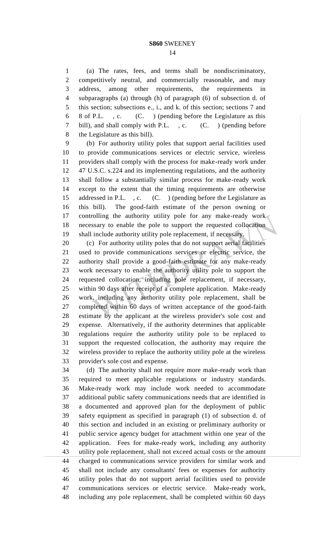(a) The rates, fees, and terms shall be nondiscriminatory, competitively neutral, and commercially reasonable, and may address, among other requirements, the requirements in subparagraphs (a) through (h) of paragraph (6) of subsection d. of this section; subsections e., i., and k. of this section; sections 7 and 8 of P.L. , c. (C. ) (pending before the Legislature as this bill), and shall comply with P.L. , c. (C. ) (pending before the Legislature as this bill).

 (b) For authority utility poles that support aerial facilities used to provide communications services or electric service, wireless providers shall comply with the process for make-ready work under 47 U.S.C. s.224 and its implementing regulations, and the authority shall follow a substantially similar process for make-ready work except to the extent that the timing requirements are otherwise 15 addressed in P.L., c. (C.) (pending before the Legislature as this bill). The good-faith estimate of the person owning or controlling the authority utility pole for any make-ready work necessary to enable the pole to support the requested collocation shall include authority utility pole replacement, if necessary.

 (c) For authority utility poles that do not support aerial facilities used to provide communications services or electric service, the authority shall provide a good-faith estimate for any make-ready work necessary to enable the authority utility pole to support the requested collocation, including pole replacement, if necessary, within 90 days after receipt of a complete application. Make-ready work, including any authority utility pole replacement, shall be completed within 60 days of written acceptance of the good-faith estimate by the applicant at the wireless provider's sole cost and expense. Alternatively, if the authority determines that applicable regulations require the authority utility pole to be replaced to support the requested collocation, the authority may require the wireless provider to replace the authority utility pole at the wireless provider's sole cost and expense.

 (d) The authority shall not require more make-ready work than required to meet applicable regulations or industry standards. Make-ready work may include work needed to accommodate additional public safety communications needs that are identified in a documented and approved plan for the deployment of public safety equipment as specified in paragraph (1) of subsection d. of this section and included in an existing or preliminary authority or public service agency budget for attachment within one year of the application. Fees for make-ready work, including any authority utility pole replacement, shall not exceed actual costs or the amount charged to communications service providers for similar work and shall not include any consultants' fees or expenses for authority utility poles that do not support aerial facilities used to provide communications services or electric service. Make-ready work, including any pole replacement, shall be completed within 60 days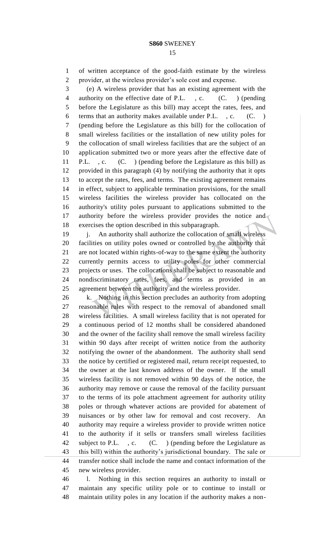#### 

 of written acceptance of the good-faith estimate by the wireless provider, at the wireless provider's sole cost and expense.

 (e) A wireless provider that has an existing agreement with the 4 authority on the effective date of P.L., c. (C. ) (pending before the Legislature as this bill) may accept the rates, fees, and terms that an authority makes available under P.L. , c. (C. ) (pending before the Legislature as this bill) for the collocation of small wireless facilities or the installation of new utility poles for the collocation of small wireless facilities that are the subject of an application submitted two or more years after the effective date of P.L. , c. (C. ) (pending before the Legislature as this bill) as provided in this paragraph (4) by notifying the authority that it opts to accept the rates, fees, and terms. The existing agreement remains in effect, subject to applicable termination provisions, for the small wireless facilities the wireless provider has collocated on the authority's utility poles pursuant to applications submitted to the 17 authority before the wireless provider provides the notice and exercises the option described in this subparagraph.

19 i. An authority shall authorize the collocation of small wireless facilities on utility poles owned or controlled by the authority that are not located within rights-of-way to the same extent the authority currently permits access to utility poles for other commercial projects or uses. The collocations shall be subject to reasonable and nondiscriminatory rates, fees, and terms as provided in an agreement between the authority and the wireless provider.

 k. Nothing in this section precludes an authority from adopting reasonable rules with respect to the removal of abandoned small wireless facilities. A small wireless facility that is not operated for a continuous period of 12 months shall be considered abandoned and the owner of the facility shall remove the small wireless facility within 90 days after receipt of written notice from the authority notifying the owner of the abandonment. The authority shall send the notice by certified or registered mail, return receipt requested, to the owner at the last known address of the owner. If the small wireless facility is not removed within 90 days of the notice, the authority may remove or cause the removal of the facility pursuant to the terms of its pole attachment agreement for authority utility poles or through whatever actions are provided for abatement of nuisances or by other law for removal and cost recovery. An authority may require a wireless provider to provide written notice to the authority if it sells or transfers small wireless facilities 42 subject to P.L., c. (C.) (pending before the Legislature as this bill) within the authority's jurisdictional boundary. The sale or transfer notice shall include the name and contact information of the new wireless provider.

 l. Nothing in this section requires an authority to install or maintain any specific utility pole or to continue to install or maintain utility poles in any location if the authority makes a non-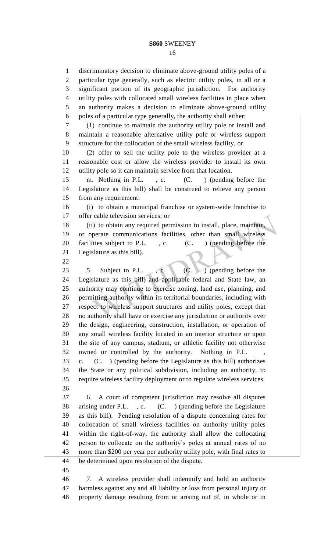discriminatory decision to eliminate above-ground utility poles of a particular type generally, such as electric utility poles, in all or a significant portion of its geographic jurisdiction. For authority utility poles with collocated small wireless facilities in place when an authority makes a decision to eliminate above-ground utility poles of a particular type generally, the authority shall either: (1) continue to maintain the authority utility pole or install and maintain a reasonable alternative utility pole or wireless support structure for the collocation of the small wireless facility, or (2) offer to sell the utility pole to the wireless provider at a reasonable cost or allow the wireless provider to install its own utility pole so it can maintain service from that location. m. Nothing in P.L. , c. (C. ) (pending before the Legislature as this bill) shall be construed to relieve any person from any requirement: (i) to obtain a municipal franchise or system-wide franchise to offer cable television services; or (ii) to obtain any required permission to install, place, maintain, or operate communications facilities, other than small wireless 20 facilities subject to P.L., c. (C.) (pending before the Legislature as this bill). 23 5. Subject to P.L., c. (C. ) (pending before the Legislature as this bill) and applicable federal and State law, an authority may continue to exercise zoning, land use, planning, and permitting authority within its territorial boundaries, including with respect to wireless support structures and utility poles, except that no authority shall have or exercise any jurisdiction or authority over the design, engineering, construction, installation, or operation of any small wireless facility located in an interior structure or upon the site of any campus, stadium, or athletic facility not otherwise owned or controlled by the authority. Nothing in P.L. , c. (C. ) (pending before the Legislature as this bill) authorizes the State or any political subdivision, including an authority, to require wireless facility deployment or to regulate wireless services. 6. A court of competent jurisdiction may resolve all disputes arising under P.L. , c. (C. ) (pending before the Legislature as this bill). Pending resolution of a dispute concerning rates for collocation of small wireless facilities on authority utility poles within the right-of-way, the authority shall allow the collocating person to collocate on the authority's poles at annual rates of no more than \$200 per year per authority utility pole, with final rates to be determined upon resolution of the dispute. 7. A wireless provider shall indemnify and hold an authority harmless against any and all liability or loss from personal injury or property damage resulting from or arising out of, in whole or in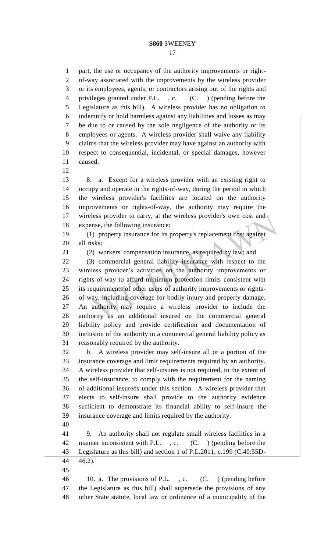part, the use or occupancy of the authority improvements or right- of-way associated with the improvements by the wireless provider or its employees, agents, or contractors arising out of the rights and privileges granted under P.L. , c. (C. ) (pending before the Legislature as this bill). A wireless provider has no obligation to indemnify or hold harmless against any liabilities and losses as may be due to or caused by the sole negligence of the authority or its employees or agents. A wireless provider shall waive any liability claims that the wireless provider may have against an authority with respect to consequential, incidental, or special damages, however caused.

 8. a. Except for a wireless provider with an existing right to occupy and operate in the rights-of-way, during the period in which the wireless provider's facilities are located on the authority improvements or rights-of-way, the authority may require the 17 wireless provider to carry, at the wireless provider's own cost and expense, the following insurance:

 (1) property insurance for its property's replacement cost against all risks;

(2) workers' compensation insurance, as required by law; and

 (3) commercial general liability insurance with respect to the wireless provider's activities on the authority improvements or rights-of-way to afford minimum protection limits consistent with its requirements of other users of authority improvements or rights- of-way, including coverage for bodily injury and property damage. An authority may require a wireless provider to include the authority as an additional insured on the commercial general liability policy and provide certification and documentation of inclusion of the authority in a commercial general liability policy as reasonably required by the authority.

 b. A wireless provider may self-insure all or a portion of the insurance coverage and limit requirements required by an authority. A wireless provider that self-insures is not required, to the extent of the self-insurance, to comply with the requirement for the naming of additional insureds under this section. A wireless provider that elects to self-insure shall provide to the authority evidence sufficient to demonstrate its financial ability to self-insure the insurance coverage and limits required by the authority.

 9. An authority shall not regulate small wireless facilities in a 42 manner inconsistent with P.L., c. (C.) (pending before the Legislature as this bill) and section 1 of P.L.2011, c.199 (C.40:55D-46.2).

 10. a. The provisions of P.L. , c. (C. ) (pending before the Legislature as this bill) shall supersede the provisions of any other State statute, local law or ordinance of a municipality of the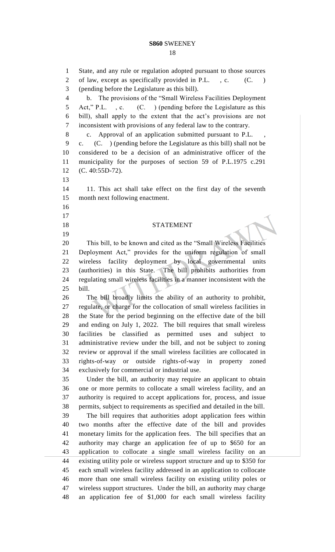State, and any rule or regulation adopted pursuant to those sources 2 of law, except as specifically provided in P.L., c. (C.) (pending before the Legislature as this bill). b. The provisions of the "Small Wireless Facilities Deployment Act," P.L. , c. (C. ) (pending before the Legislature as this bill), shall apply to the extent that the act's provisions are not inconsistent with provisions of any federal law to the contrary. 8 c. Approval of an application submitted pursuant to P.L. c. (C. ) (pending before the Legislature as this bill) shall not be considered to be a decision of an administrative officer of the municipality for the purposes of section 59 of P.L.1975 c.291 (C. 40:55D-72). 11. This act shall take effect on the first day of the seventh month next following enactment. STATEMENT This bill, to be known and cited as the "Small Wireless Facilities Deployment Act," provides for the uniform regulation of small wireless facility deployment by local governmental units (authorities) in this State. The bill prohibits authorities from regulating small wireless facilities in a manner inconsistent with the bill. The bill broadly limits the ability of an authority to prohibit, regulate, or charge for the collocation of small wireless facilities in the State for the period beginning on the effective date of the bill and ending on July 1, 2022. The bill requires that small wireless facilities be classified as permitted uses and subject to administrative review under the bill, and not be subject to zoning review or approval if the small wireless facilities are collocated in rights-of-way or outside rights-of-way in property zoned exclusively for commercial or industrial use. Under the bill, an authority may require an applicant to obtain one or more permits to collocate a small wireless facility, and an authority is required to accept applications for, process, and issue permits, subject to requirements as specified and detailed in the bill. The bill requires that authorities adopt application fees within two months after the effective date of the bill and provides monetary limits for the application fees. The bill specifies that an authority may charge an application fee of up to \$650 for an application to collocate a single small wireless facility on an existing utility pole or wireless support structure and up to \$350 for each small wireless facility addressed in an application to collocate more than one small wireless facility on existing utility poles or wireless support structures. Under the bill, an authority may charge an application fee of \$1,000 for each small wireless facility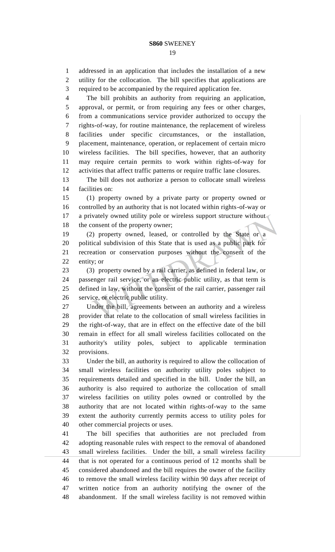addressed in an application that includes the installation of a new utility for the collocation. The bill specifies that applications are

 required to be accompanied by the required application fee. The bill prohibits an authority from requiring an application, approval, or permit, or from requiring any fees or other charges, from a communications service provider authorized to occupy the rights-of-way, for routine maintenance, the replacement of wireless facilities under specific circumstances, or the installation, placement, maintenance, operation, or replacement of certain micro wireless facilities. The bill specifies, however, that an authority may require certain permits to work within rights-of-way for activities that affect traffic patterns or require traffic lane closures. The bill does not authorize a person to collocate small wireless facilities on: (1) property owned by a private party or property owned or controlled by an authority that is not located within rights-of-way or 17 a privately owned utility pole or wireless support structure without 18 the consent of the property owner; (2) property owned, leased, or controlled by the State or a political subdivision of this State that is used as a public park for recreation or conservation purposes without the consent of the entity; or (3) property owned by a rail carrier, as defined in federal law, or passenger rail service, or an electric public utility, as that term is defined in law, without the consent of the rail carrier, passenger rail service, or electric public utility. Under the bill, agreements between an authority and a wireless provider that relate to the collocation of small wireless facilities in the right-of-way, that are in effect on the effective date of the bill remain in effect for all small wireless facilities collocated on the authority's utility poles, subject to applicable termination provisions. Under the bill, an authority is required to allow the collocation of small wireless facilities on authority utility poles subject to requirements detailed and specified in the bill. Under the bill, an authority is also required to authorize the collocation of small wireless facilities on utility poles owned or controlled by the authority that are not located within rights-of-way to the same extent the authority currently permits access to utility poles for other commercial projects or uses. The bill specifies that authorities are not precluded from adopting reasonable rules with respect to the removal of abandoned small wireless facilities. Under the bill, a small wireless facility that is not operated for a continuous period of 12 months shall be considered abandoned and the bill requires the owner of the facility to remove the small wireless facility within 90 days after receipt of written notice from an authority notifying the owner of the abandonment. If the small wireless facility is not removed within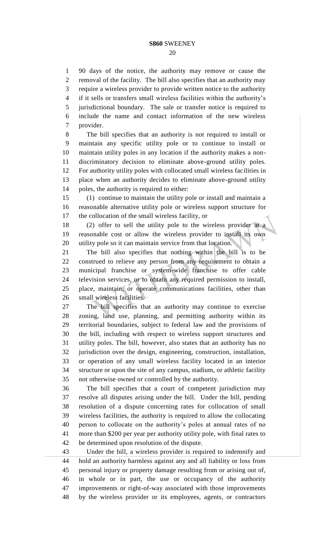90 days of the notice, the authority may remove or cause the removal of the facility. The bill also specifies that an authority may require a wireless provider to provide written notice to the authority if it sells or transfers small wireless facilities within the authority's jurisdictional boundary. The sale or transfer notice is required to include the name and contact information of the new wireless provider.

 The bill specifies that an authority is not required to install or maintain any specific utility pole or to continue to install or maintain utility poles in any location if the authority makes a non- discriminatory decision to eliminate above-ground utility poles. For authority utility poles with collocated small wireless facilities in place when an authority decides to eliminate above-ground utility poles, the authority is required to either:

 (1) continue to maintain the utility pole or install and maintain a reasonable alternative utility pole or wireless support structure for the collocation of the small wireless facility, or

 (2) offer to sell the utility pole to the wireless provider at a reasonable cost or allow the wireless provider to install its own utility pole so it can maintain service from that location.

 The bill also specifies that nothing within the bill is to be construed to relieve any person from any requirement to obtain a municipal franchise or system-wide franchise to offer cable television services, or to obtain any required permission to install, place, maintain, or operate communications facilities, other than small wireless facilities.

 The bill specifies that an authority may continue to exercise zoning, land use, planning, and permitting authority within its territorial boundaries, subject to federal law and the provisions of the bill, including with respect to wireless support structures and utility poles. The bill, however, also states that an authority has no jurisdiction over the design, engineering, construction, installation, or operation of any small wireless facility located in an interior structure or upon the site of any campus, stadium, or athletic facility not otherwise owned or controlled by the authority.

 The bill specifies that a court of competent jurisdiction may resolve all disputes arising under the bill. Under the bill, pending resolution of a dispute concerning rates for collocation of small wireless facilities, the authority is required to allow the collocating person to collocate on the authority's poles at annual rates of no more than \$200 per year per authority utility pole, with final rates to be determined upon resolution of the dispute.

 Under the bill, a wireless provider is required to indemnify and hold an authority harmless against any and all liability or loss from personal injury or property damage resulting from or arising out of, in whole or in part, the use or occupancy of the authority improvements or right-of-way associated with those improvements by the wireless provider or its employees, agents, or contractors